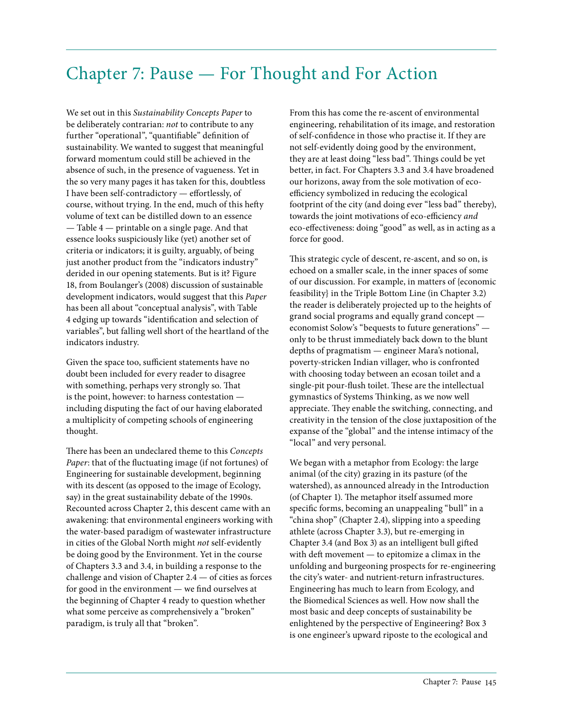## Chapter 7: Pause — For Thought and For Action

We set out in this *Sustainability Concepts Paper* to be deliberately contrarian: *not* to contribute to any further "operational", "quantifiable" definition of sustainability. We wanted to suggest that meaningful forward momentum could still be achieved in the absence of such, in the presence of vagueness. Yet in the so very many pages it has taken for this, doubtless I have been self-contradictory — effortlessly, of course, without trying. In the end, much of this hefty volume of text can be distilled down to an essence — Table 4 — printable on a single page. And that essence looks suspiciously like (yet) another set of criteria or indicators; it is guilty, arguably, of being just another product from the "indicators industry" derided in our opening statements. But is it? Figure 18, from Boulanger's (2008) discussion of sustainable development indicators, would suggest that this *Paper* has been all about "conceptual analysis", with Table 4 edging up towards "identification and selection of variables", but falling well short of the heartland of the indicators industry.

Given the space too, sufficient statements have no doubt been included for every reader to disagree with something, perhaps very strongly so. That is the point, however: to harness contestation including disputing the fact of our having elaborated a multiplicity of competing schools of engineering thought.

There has been an undeclared theme to this *Concepts Paper*: that of the fluctuating image (if not fortunes) of Engineering for sustainable development, beginning with its descent (as opposed to the image of Ecology, say) in the great sustainability debate of the 1990s. Recounted across Chapter 2, this descent came with an awakening: that environmental engineers working with the water-based paradigm of wastewater infrastructure in cities of the Global North might *not* self-evidently be doing good by the Environment. Yet in the course of Chapters 3.3 and 3.4, in building a response to the challenge and vision of Chapter 2.4 — of cities as forces for good in the environment — we find ourselves at the beginning of Chapter 4 ready to question whether what some perceive as comprehensively a "broken" paradigm, is truly all that "broken".

From this has come the re-ascent of environmental engineering, rehabilitation of its image, and restoration of self-confidence in those who practise it. If they are not self-evidently doing good by the environment, they are at least doing "less bad". Things could be yet better, in fact. For Chapters 3.3 and 3.4 have broadened our horizons, away from the sole motivation of ecoefficiency symbolized in reducing the ecological footprint of the city (and doing ever "less bad" thereby), towards the joint motivations of eco-efficiency *and* eco-effectiveness: doing "good" as well, as in acting as a force for good.

This strategic cycle of descent, re-ascent, and so on, is echoed on a smaller scale, in the inner spaces of some of our discussion. For example, in matters of {economic feasibility} in the Triple Bottom Line (in Chapter 3.2) the reader is deliberately projected up to the heights of grand social programs and equally grand concept economist Solow's "bequests to future generations" only to be thrust immediately back down to the blunt depths of pragmatism — engineer Mara's notional, poverty-stricken Indian villager, who is confronted with choosing today between an ecosan toilet and a single-pit pour-flush toilet. These are the intellectual gymnastics of Systems Thinking, as we now well appreciate. They enable the switching, connecting, and creativity in the tension of the close juxtaposition of the expanse of the "global" and the intense intimacy of the "local" and very personal.

We began with a metaphor from Ecology: the large animal (of the city) grazing in its pasture (of the watershed), as announced already in the Introduction (of Chapter 1). The metaphor itself assumed more specific forms, becoming an unappealing "bull" in a "china shop" (Chapter 2.4), slipping into a speeding athlete (across Chapter 3.3), but re-emerging in Chapter 3.4 (and Box 3) as an intelligent bull gifted with deft movement — to epitomize a climax in the unfolding and burgeoning prospects for re-engineering the city's water- and nutrient-return infrastructures. Engineering has much to learn from Ecology, and the Biomedical Sciences as well. How now shall the most basic and deep concepts of sustainability be enlightened by the perspective of Engineering? Box 3 is one engineer's upward riposte to the ecological and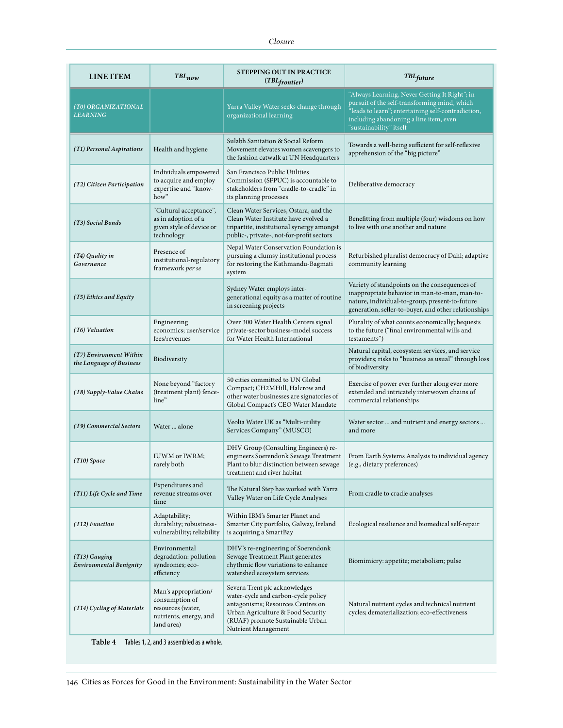| LINE ITEM                                           | $TBL_{now}$                                                                                         | <b>STEPPING OUT IN PRACTICE</b><br>$(TBL$ frontier)                                                                                                                                                       | <b>TBL</b> future                                                                                                                                                                                                        |
|-----------------------------------------------------|-----------------------------------------------------------------------------------------------------|-----------------------------------------------------------------------------------------------------------------------------------------------------------------------------------------------------------|--------------------------------------------------------------------------------------------------------------------------------------------------------------------------------------------------------------------------|
| (T0) ORGANIZATIONAL<br><b>LEARNING</b>              |                                                                                                     | Yarra Valley Water seeks change through<br>organizational learning                                                                                                                                        | "Always Learning, Never Getting It Right"; in<br>pursuit of the self-transforming mind, which<br>"leads to learn"; entertaining self-contradiction,<br>including abandoning a line item, even<br>"sustainability" itself |
| (T1) Personal Aspirations                           | Health and hygiene                                                                                  | Sulabh Sanitation & Social Reform<br>Movement elevates women scavengers to<br>the fashion catwalk at UN Headquarters                                                                                      | Towards a well-being sufficient for self-reflexive<br>apprehension of the "big picture"                                                                                                                                  |
| (T2) Citizen Participation                          | Individuals empowered<br>to acquire and employ<br>expertise and "know-<br>how"                      | San Francisco Public Utilities<br>Commission (SFPUC) is accountable to<br>stakeholders from "cradle-to-cradle" in<br>its planning processes                                                               | Deliberative democracy                                                                                                                                                                                                   |
| (T3) Social Bonds                                   | "Cultural acceptance",<br>as in adoption of a<br>given style of device or<br>technology             | Clean Water Services, Ostara, and the<br>Clean Water Institute have evolved a<br>tripartite, institutional synergy amongst<br>public-, private-, not-for-profit sectors                                   | Benefitting from multiple (four) wisdoms on how<br>to live with one another and nature                                                                                                                                   |
| (T4) Quality in<br>Governance                       | Presence of<br>institutional-regulatory<br>framework per se                                         | Nepal Water Conservation Foundation is<br>pursuing a clumsy institutional process<br>for restoring the Kathmandu-Bagmati<br>system                                                                        | Refurbished pluralist democracy of Dahl; adaptive<br>community learning                                                                                                                                                  |
| (T5) Ethics and Equity                              |                                                                                                     | Sydney Water employs inter-<br>generational equity as a matter of routine<br>in screening projects                                                                                                        | Variety of standpoints on the consequences of<br>inappropriate behavior in man-to-man, man-to-<br>nature, individual-to-group, present-to-future<br>generation, seller-to-buyer, and other relationships                 |
| (T6) Valuation                                      | Engineering<br>economics; user/service<br>fees/revenues                                             | Over 300 Water Health Centers signal<br>private-sector business-model success<br>for Water Health International                                                                                           | Plurality of what counts economically; bequests<br>to the future ("final environmental wills and<br>testaments")                                                                                                         |
| (T7) Environment Within<br>the Language of Business | Biodiversity                                                                                        |                                                                                                                                                                                                           | Natural capital, ecosystem services, and service<br>providers; risks to "business as usual" through loss<br>of biodiversity                                                                                              |
| (T8) Supply-Value Chains                            | None beyond "factory<br>(treatment plant) fence-<br>line"                                           | 50 cities committed to UN Global<br>Compact; CH2MHill, Halcrow and<br>other water businesses are signatories of<br>Global Compact's CEO Water Mandate                                                     | Exercise of power ever further along ever more<br>extended and intricately interwoven chains of<br>commercial relationships                                                                                              |
| (T9) Commercial Sectors                             | Water  alone                                                                                        | Veolia Water UK as "Multi-utility<br>Services Company" (MUSCO)                                                                                                                                            | Water sector  and nutrient and energy sectors<br>and more                                                                                                                                                                |
| $(T10)$ Space                                       | <b>IUWM</b> or <b>IWRM</b> ;<br>rarely both                                                         | DHV Group (Consulting Engineers) re-<br>engineers Soerendonk Sewage Treatment<br>Plant to blur distinction between sewage<br>treatment and river habitat                                                  | From Earth Systems Analysis to individual agency<br>(e.g., dietary preferences)                                                                                                                                          |
| (T11) Life Cycle and Time                           | Expenditures and<br>revenue streams over<br>time                                                    | The Natural Step has worked with Yarra<br>Valley Water on Life Cycle Analyses                                                                                                                             | From cradle to cradle analyses                                                                                                                                                                                           |
| (T12) Function                                      | Adaptability;<br>durability; robustness-<br>vulnerability; reliability                              | Within IBM's Smarter Planet and<br>Smarter City portfolio, Galway, Ireland<br>is acquiring a SmartBay                                                                                                     | Ecological resilience and biomedical self-repair                                                                                                                                                                         |
| (T13) Gauging<br>Environmental Benignity            | Environmental<br>degradation: pollution<br>syndromes; eco-<br>efficiency                            | DHV's re-engineering of Soerendonk<br>Sewage Treatment Plant generates<br>rhythmic flow variations to enhance<br>watershed ecosystem services                                                             | Biomimicry: appetite; metabolism; pulse                                                                                                                                                                                  |
| (T14) Cycling of Materials                          | Man's appropriation/<br>consumption of<br>resources (water,<br>nutrients, energy, and<br>land area) | Severn Trent plc acknowledges<br>water-cycle and carbon-cycle policy<br>antagonisms; Resources Centres on<br>Urban Agriculture & Food Security<br>(RUAF) promote Sustainable Urban<br>Nutrient Management | Natural nutrient cycles and technical nutrient<br>cycles; dematerialization; eco-effectiveness                                                                                                                           |

**Table 4** Tables 1, 2, and 3 assembled as a whole.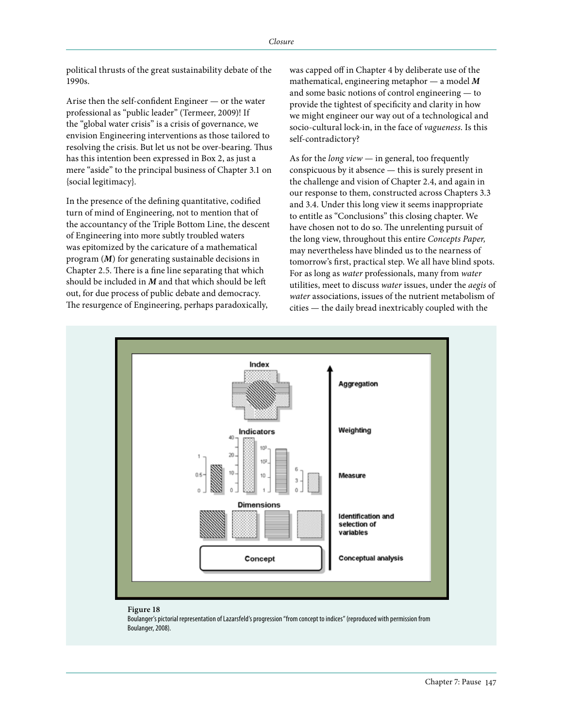political thrusts of the great sustainability debate of the 1990s.

Arise then the self-confident Engineer — or the water professional as "public leader" (Termeer, 2009)! If the "global water crisis" is a crisis of governance, we envision Engineering interventions as those tailored to resolving the crisis. But let us not be over-bearing. Thus has this intention been expressed in Box 2, as just a mere "aside" to the principal business of Chapter 3.1 on {social legitimacy}.

In the presence of the defining quantitative, codified turn of mind of Engineering, not to mention that of the accountancy of the Triple Bottom Line, the descent of Engineering into more subtly troubled waters was epitomized by the caricature of a mathematical program (*M*) for generating sustainable decisions in Chapter 2.5. There is a fine line separating that which should be included in *M* and that which should be left out, for due process of public debate and democracy. The resurgence of Engineering, perhaps paradoxically,

was capped off in Chapter 4 by deliberate use of the mathematical, engineering metaphor — a model *M* and some basic notions of control engineering — to provide the tightest of specificity and clarity in how we might engineer our way out of a technological and socio-cultural lock-in, in the face of *vagueness*. Is this self-contradictory?

As for the *long view* — in general, too frequently conspicuous by it absence — this is surely present in the challenge and vision of Chapter 2.4, and again in our response to them, constructed across Chapters 3.3 and 3.4. Under this long view it seems inappropriate to entitle as "Conclusions" this closing chapter. We have chosen not to do so. The unrelenting pursuit of the long view, throughout this entire *Concepts Paper,* may nevertheless have blinded us to the nearness of tomorrow's first, practical step. We all have blind spots. For as long as *water* professionals, many from *water* utilities, meet to discuss *water* issues, under the *aegis* of *water* associations, issues of the nutrient metabolism of cities — the daily bread inextricably coupled with the



## **Figure 18**

Boulanger's pictorial representation of Lazarsfeld's progression "from concept to indices" (reproduced with permission from Boulanger, 2008).